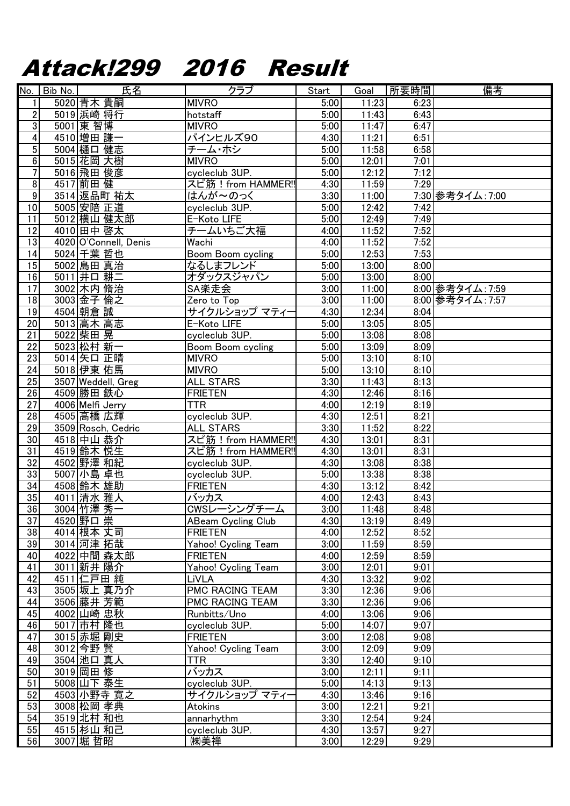## Attack!299 2016 Result

|                         | No. Bib No. | 氏名                    | クラブ                       | Start             | Goal  | 所要時間 | 備考               |
|-------------------------|-------------|-----------------------|---------------------------|-------------------|-------|------|------------------|
| 1                       |             | 5020 青木 貴嗣            | <b>MIVRO</b>              | 5:00              | 11:23 | 6:23 |                  |
| $\overline{\mathbf{c}}$ |             | 5019 浜崎 将行            | hotstaff                  | 5:00              | 11:43 | 6:43 |                  |
| $\overline{3}$          |             | 5001 東 智博             | <b>MIVRO</b>              | 5:00              | 11:47 | 6:47 |                  |
| $\overline{4}$          |             | 4510 増田 謙一            | パインヒルズ90                  | 4:30              | 11:21 | 6:51 |                  |
| 5                       |             | 5004 樋口健志             | チーム・ホシ                    | 5:00              | 11:58 | 6:58 |                  |
| 6                       |             | 5015 花岡 大樹            | <b>MIVRO</b>              | 5:00              | 12:01 | 7:01 |                  |
| 7                       |             | 5016 飛田 俊彦            | cycleclub 3UP.            | 5:00              | 12:12 | 7:12 |                  |
| 8                       |             | 4517 前田健              | スピ筋!from HAMMER!!         | 4:30              | 11:59 | 7:29 |                  |
| $\overline{9}$          |             |                       |                           |                   |       |      |                  |
|                         |             | 3514 返品町 祐太           | はんが~のっく                   | 3:30              | 11:00 |      | 7:30 参考タイム: 7:00 |
| $\overline{10}$         |             | 5005 安陪 正道            | cycleclub 3UP.            | 5:00              | 12:42 | 7:42 |                  |
| 11                      |             | 5012 横山 健太郎           | E-Koto LIFE               | 5:00              | 12:49 | 7:49 |                  |
| $\overline{12}$         |             | 4010 田中 啓太            | チームいちご大福                  | 4:00              | 11:52 | 7:52 |                  |
| $\overline{13}$         |             | 4020 O'Connell, Denis | Wachi                     | 4:00              | 11:52 | 7:52 |                  |
| 14                      |             | 5024 千葉 哲也            | <b>Boom Boom cycling</b>  | 5:00              | 12:53 | 7:53 |                  |
| $\overline{15}$         |             | 5002 島田 真治            | なるしまフレンド                  | 5:00              | 13:00 | 8:00 |                  |
| 16                      |             | 5011 井口 耕二            | オダックスジャパン                 | 5:00              | 13:00 | 8:00 |                  |
| $\overline{17}$         |             | 3002 木内 脩治            | SA楽走会                     | 3:00              | 11:00 |      | 8:00 参考タイム: 7:59 |
| 18                      |             | 3003 金子 倫之            | Zero to Top               | 3:00              | 11:00 |      | 8:00 参考タイム: 7:57 |
| $\overline{19}$         |             | 4504 朝倉 誠             | サイクルショップ マティー             | 4:30              | 12:34 | 8:04 |                  |
| 20                      |             | 5013 高木 高志            | E-Koto LIFE               | 5:00              | 13:05 | 8:05 |                  |
| 21                      |             | 5022 柴田晃              | cycleclub 3UP.            | 5:00              | 13:08 | 8:08 |                  |
| $\overline{22}$         |             | 5023 松村 新一            | Boom Boom cycling         | $\overline{5:00}$ | 13:09 | 8:09 |                  |
| 23                      |             | 5014 矢口 正晴            | <b>MIVRO</b>              | 5:00              | 13:10 | 8:10 |                  |
| 24                      |             | 5018 伊東 佑馬            | <b>MIVRO</b>              | 5:00              | 13:10 | 8:10 |                  |
| 25                      |             | 3507 Weddell, Greg    | <b>ALL STARS</b>          | 3:30              | 11:43 | 8:13 |                  |
| $\overline{26}$         |             | 4509 勝田 鉄心            | <b>FRIETEN</b>            | 4:30              | 12:46 | 8:16 |                  |
| $\overline{27}$         |             | 4006 Melfi Jerry      | <b>TTR</b>                | 4:00              | 12:19 | 8:19 |                  |
| $\overline{28}$         |             | 4505 高橋 広輝            | cycleclub 3UP.            | 4:30              | 12:51 | 8:21 |                  |
| $\overline{29}$         |             | 3509 Rosch, Cedric    | <b>ALL STARS</b>          | 3:30              | 11:52 | 8:22 |                  |
| 30                      |             | 4518 中山 恭介            | スピ筋!from HAMMER!!         | 4:30              | 13:01 | 8:31 |                  |
| 31                      |             | 4519 鈴木 悦生            | スピ筋!from HAMMER!!         | 4:30              | 13:01 | 8:31 |                  |
| $\overline{32}$         |             | 4502 野澤 和紀            | cycleclub 3UP.            | 4:30              | 13:08 | 8:38 |                  |
| 33                      |             | 5007 小島 卓也            | cycleclub 3UP.            | 5:00              | 13:38 | 8:38 |                  |
| $\overline{34}$         |             | 4508 鈴木 雄助            | <b>FRIETEN</b>            | 4:30              | 13:12 | 8:42 |                  |
| 35                      |             | 4011 清水 雅人            | バッカス                      | 4:00              | 12:43 | 8:43 |                  |
| 36                      |             | 3004 竹澤 秀一            | CWSレーシングチーム               | 3:00              | 11:48 | 8:48 |                  |
| 37                      |             | 4520 野口 崇             | <b>ABeam Cycling Club</b> | 4:30              | 13:19 | 8:49 |                  |
| $\overline{38}$         |             | 4014 根本 丈司            | <b>FRIETEN</b>            | 4:00              | 12:52 | 8:52 |                  |
| 39                      |             | 3014 河津 拓哉            | Yahoo! Cycling Team       | 3:00              | 11:59 | 8:59 |                  |
| 40                      |             | 4022 中間 森太郎           | <b>FRIETEN</b>            | 4:00              | 12:59 | 8:59 |                  |
| 41                      |             | 3011 新井 陽介            | Yahoo! Cycling Team       | 3:00              | 12:01 | 9:01 |                  |
| 42                      |             | 4511 仁戸田 純            | LiVLA                     | 4:30              | 13:32 | 9:02 |                  |
| 43                      |             | 3505 坂上 真乃介           | PMC RACING TEAM           | 3:30              | 12:36 | 9:06 |                  |
| 44                      |             | 3506 藤井 芳範            | PMC RACING TEAM           | 3:30              |       | 9:06 |                  |
|                         |             |                       |                           |                   | 12:36 |      |                  |
| 45                      |             | 4002 山崎 忠秋            | Runbitts/Uno              | 4:00              | 13:06 | 9:06 |                  |
| 46                      |             | 5017 市村 隆也            | cycleclub 3UP.            | 5:00              | 14:07 | 9:07 |                  |
| 47                      |             | 3015 赤堀 剛史            | <b>FRIETEN</b>            | 3:00              | 12:08 | 9:08 |                  |
| 48                      |             | 3012 今野 賢             | Yahoo! Cycling Team       | 3:00              | 12:09 | 9:09 |                  |
| 49                      |             | 3504 池口 真人            | <b>TTR</b>                | 3:30              | 12:40 | 9:10 |                  |
| 50                      |             | 3019 岡田 修             | バッカス                      | 3:00              | 12:11 | 9:11 |                  |
| 51                      |             | 5008 山下 泰生            | cycleclub 3UP.            | 5:00              | 14:13 | 9:13 |                  |
| 52                      |             | 4503 小野寺 寛之           | サイクルショップ マティー             | 4:30              | 13:46 | 9:16 |                  |
| 53                      |             | 3008 松岡 孝典            | <b>Atokins</b>            | 3:00              | 12:21 | 9:21 |                  |
| 54                      |             | 3519 北村 和也            | annarhythm                | 3:30              | 12:54 | 9:24 |                  |
| 55                      |             | 4515 杉山 和己            | cycleclub 3UP.            | 4:30              | 13:57 | 9:27 |                  |
| 56                      |             | 3007 堀 哲昭             | ㈱美禅                       | 3:00              | 12:29 | 9:29 |                  |